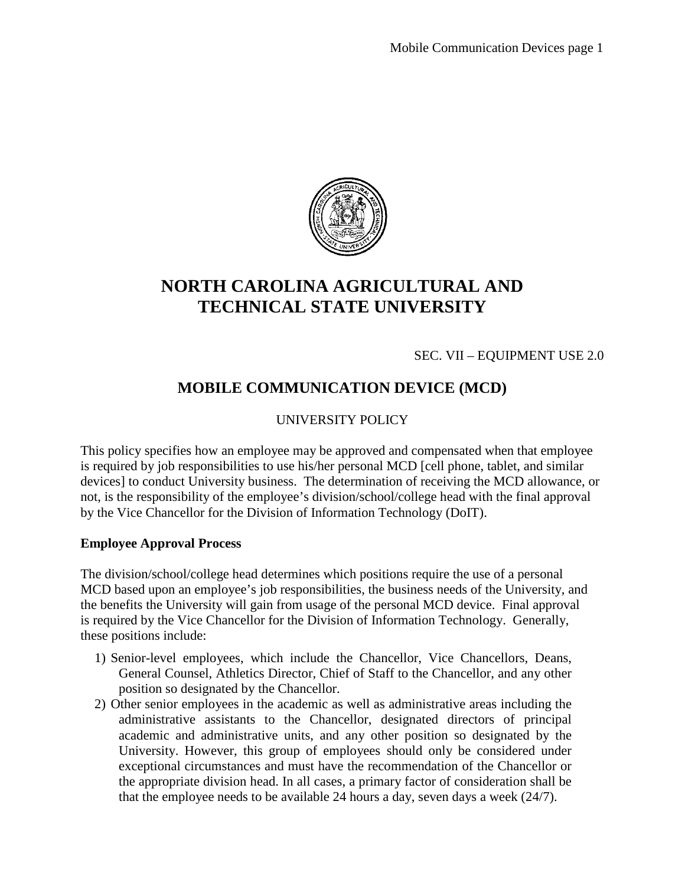

# **NORTH CAROLINA AGRICULTURAL AND TECHNICAL STATE UNIVERSITY**

SEC. VII – EQUIPMENT USE 2.0

## **MOBILE COMMUNICATION DEVICE (MCD)**

### UNIVERSITY POLICY

This policy specifies how an employee may be approved and compensated when that employee is required by job responsibilities to use his/her personal MCD [cell phone, tablet, and similar devices] to conduct University business. The determination of receiving the MCD allowance, or not, is the responsibility of the employee's division/school/college head with the final approval by the Vice Chancellor for the Division of Information Technology (DoIT).

#### **Employee Approval Process**

The division/school/college head determines which positions require the use of a personal MCD based upon an employee's job responsibilities, the business needs of the University, and the benefits the University will gain from usage of the personal MCD device. Final approval is required by the Vice Chancellor for the Division of Information Technology. Generally, these positions include:

- 1) Senior-level employees, which include the Chancellor, Vice Chancellors, Deans, General Counsel, Athletics Director, Chief of Staff to the Chancellor, and any other position so designated by the Chancellor.
- 2) Other senior employees in the academic as well as administrative areas including the administrative assistants to the Chancellor, designated directors of principal academic and administrative units, and any other position so designated by the University. However, this group of employees should only be considered under exceptional circumstances and must have the recommendation of the Chancellor or the appropriate division head. In all cases, a primary factor of consideration shall be that the employee needs to be available 24 hours a day, seven days a week (24/7).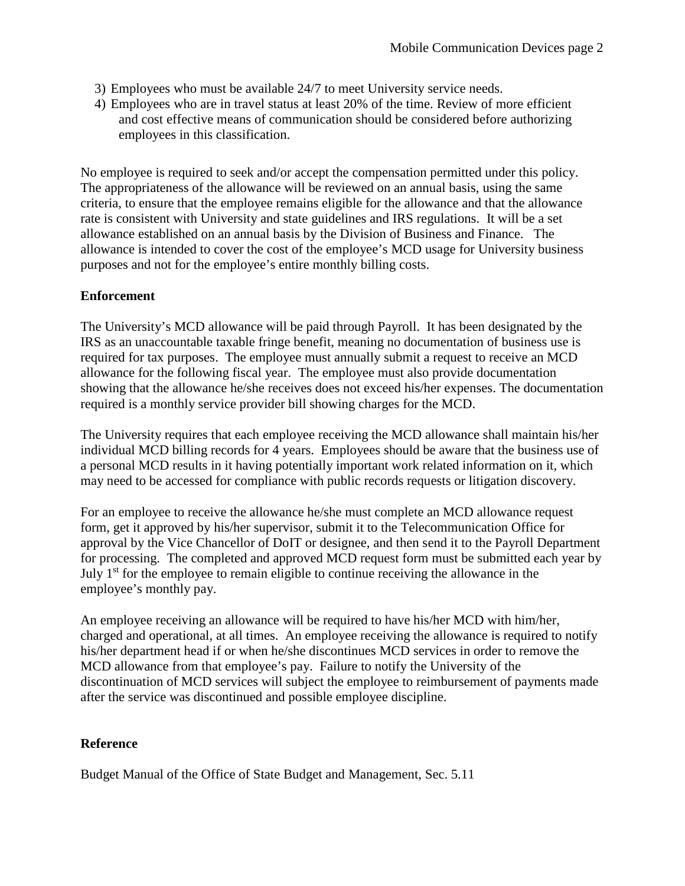- 3) Employees who must be available 24/7 to meet University service needs.
- 4) Employees who are in travel status at least 20% of the time. Review of more efficient and cost effective means of communication should be considered before authorizing employees in this classification.

No employee is required to seek and/or accept the compensation permitted under this policy. The appropriateness of the allowance will be reviewed on an annual basis, using the same criteria, to ensure that the employee remains eligible for the allowance and that the allowance rate is consistent with University and state guidelines and IRS regulations. It will be a set allowance established on an annual basis by the Division of Business and Finance. The allowance is intended to cover the cost of the employee's MCD usage for University business purposes and not for the employee's entire monthly billing costs.

#### **Enforcement**

The University's MCD allowance will be paid through Payroll. It has been designated by the IRS as an unaccountable taxable fringe benefit, meaning no documentation of business use is required for tax purposes. The employee must annually submit a request to receive an MCD allowance for the following fiscal year. The employee must also provide documentation showing that the allowance he/she receives does not exceed his/her expenses. The documentation required is a monthly service provider bill showing charges for the MCD.

The University requires that each employee receiving the MCD allowance shall maintain his/her individual MCD billing records for 4 years. Employees should be aware that the business use of a personal MCD results in it having potentially important work related information on it, which may need to be accessed for compliance with public records requests or litigation discovery.

For an employee to receive the allowance he/she must complete an MCD allowance request form, get it approved by his/her supervisor, submit it to the Telecommunication Office for approval by the Vice Chancellor of DoIT or designee, and then send it to the Payroll Department for processing. The completed and approved MCD request form must be submitted each year by July 1<sup>st</sup> for the employee to remain eligible to continue receiving the allowance in the employee's monthly pay.

An employee receiving an allowance will be required to have his/her MCD with him/her, charged and operational, at all times. An employee receiving the allowance is required to notify his/her department head if or when he/she discontinues MCD services in order to remove the MCD allowance from that employee's pay. Failure to notify the University of the discontinuation of MCD services will subject the employee to reimbursement of payments made after the service was discontinued and possible employee discipline.

#### **Reference**

Budget Manual of the Office of State Budget and Management, Sec. 5.11